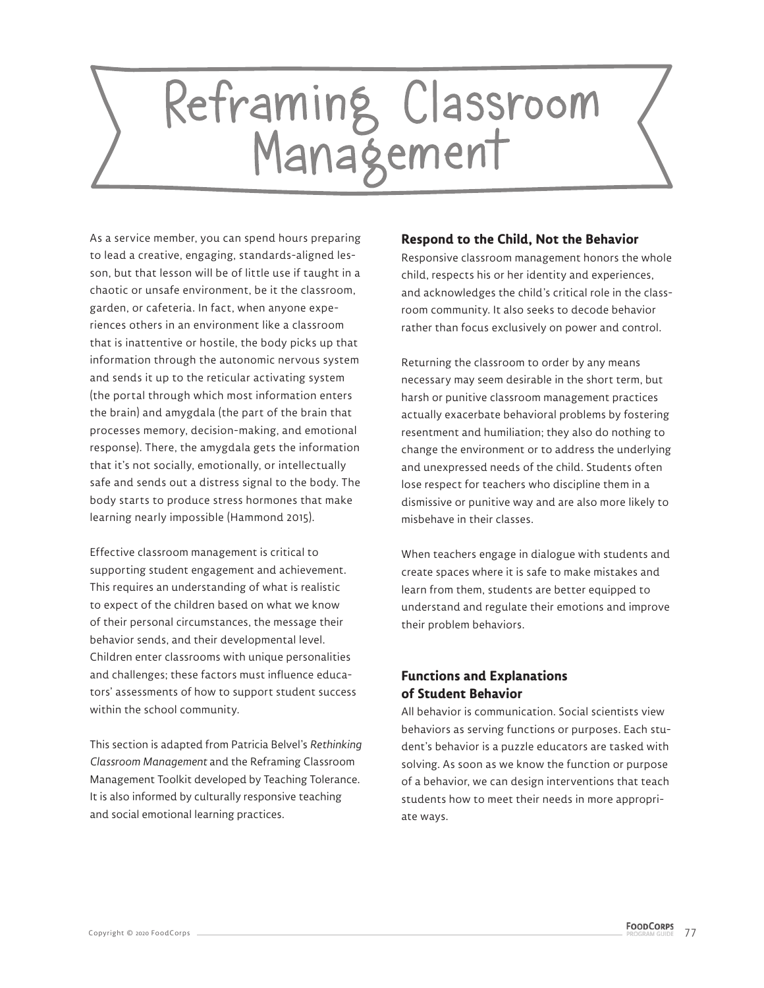# Reframing Classroom<br>Management

As a service member, you can spend hours preparing to lead a creative, engaging, standards-aligned lesson, but that lesson will be of little use if taught in a chaotic or unsafe environment, be it the classroom, garden, or cafeteria. In fact, when anyone experiences others in an environment like a classroom that is inattentive or hostile, the body picks up that information through the autonomic nervous system and sends it up to the reticular activating system (the portal through which most information enters the brain) and amygdala (the part of the brain that processes memory, decision-making, and emotional response). There, the amygdala gets the information that it's not socially, emotionally, or intellectually safe and sends out a distress signal to the body. The body starts to produce stress hormones that make learning nearly impossible (Hammond 2015).

Effective classroom management is critical to supporting student engagement and achievement. This requires an understanding of what is realistic to expect of the children based on what we know of their personal circumstances, the message their behavior sends, and their developmental level. Children enter classrooms with unique personalities and challenges; these factors must influence educators' assessments of how to support student success within the school community.

This section is adapted from Patricia Belvel's *Rethinking Classroom Management* and the Reframing Classroom Management Toolkit developed by Teaching Tolerance. It is also informed by culturally responsive teaching and social emotional learning practices.

## **Respond to the Child, Not the Behavior**

Responsive classroom management honors the whole child, respects his or her identity and experiences, and acknowledges the child's critical role in the classroom community. It also seeks to decode behavior rather than focus exclusively on power and control.

Returning the classroom to order by any means necessary may seem desirable in the short term, but harsh or punitive classroom management practices actually exacerbate behavioral problems by fostering resentment and humiliation; they also do nothing to change the environment or to address the underlying and unexpressed needs of the child. Students often lose respect for teachers who discipline them in a dismissive or punitive way and are also more likely to misbehave in their classes.

When teachers engage in dialogue with students and create spaces where it is safe to make mistakes and learn from them, students are better equipped to understand and regulate their emotions and improve their problem behaviors.

# **Functions and Explanations of Student Behavior**

All behavior is communication. Social scientists view behaviors as serving functions or purposes. Each student's behavior is a puzzle educators are tasked with solving. As soon as we know the function or purpose of a behavior, we can design interventions that teach students how to meet their needs in more appropriate ways.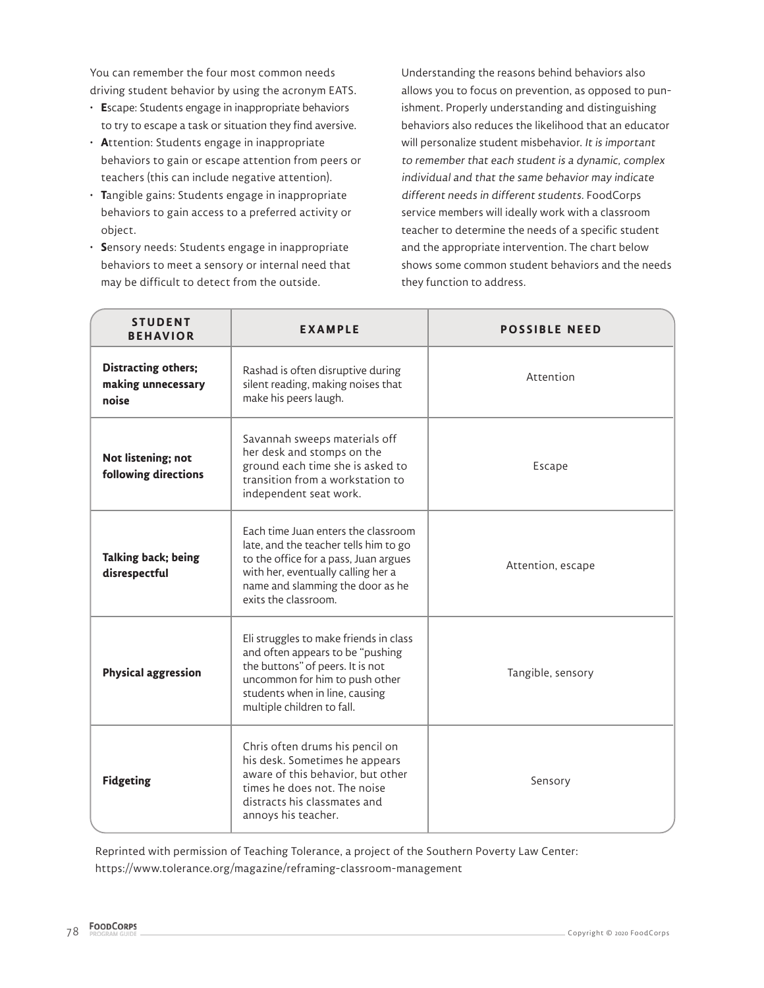You can remember the four most common needs driving student behavior by using the acronym EATS.

- **E**scape: Students engage in inappropriate behaviors to try to escape a task or situation they find aversive.
- **A**ttention: Students engage in inappropriate behaviors to gain or escape attention from peers or teachers (this can include negative attention).
- **T**angible gains: Students engage in inappropriate behaviors to gain access to a preferred activity or object.
- **S**ensory needs: Students engage in inappropriate behaviors to meet a sensory or internal need that may be difficult to detect from the outside.

Understanding the reasons behind behaviors also allows you to focus on prevention, as opposed to punishment. Properly understanding and distinguishing behaviors also reduces the likelihood that an educator will personalize student misbehavior. It is important to remember that each student is a dynamic, complex individual and that the same behavior may indicate different needs in different students. FoodCorps service members will ideally work with a classroom teacher to determine the needs of a specific student and the appropriate intervention. The chart below shows some common student behaviors and the needs they function to address.

| <b>STUDENT</b><br><b>BEHAVIOR</b>                  | <b>EXAMPLE</b>                                                                                                                                                                                                          | <b>POSSIBLE NEED</b> |
|----------------------------------------------------|-------------------------------------------------------------------------------------------------------------------------------------------------------------------------------------------------------------------------|----------------------|
| Distracting others;<br>making unnecessary<br>noise | Rashad is often disruptive during<br>silent reading, making noises that<br>make his peers laugh.                                                                                                                        | Attention            |
| Not listening; not<br>following directions         | Savannah sweeps materials off<br>her desk and stomps on the<br>ground each time she is asked to<br>transition from a workstation to<br>independent seat work.                                                           | Escape               |
| Talking back; being<br>disrespectful               | Each time Juan enters the classroom<br>late, and the teacher tells him to go<br>to the office for a pass, Juan argues<br>with her, eventually calling her a<br>name and slamming the door as he<br>exits the classroom. | Attention, escape    |
| <b>Physical aggression</b>                         | Eli struggles to make friends in class<br>and often appears to be "pushing<br>the buttons" of peers. It is not<br>uncommon for him to push other<br>students when in line, causing<br>multiple children to fall.        | Tangible, sensory    |
| <b>Fidgeting</b>                                   | Chris often drums his pencil on<br>his desk. Sometimes he appears<br>aware of this behavior, but other<br>times he does not. The noise<br>distracts his classmates and<br>annoys his teacher.                           | Sensory              |

Reprinted with permission of Teaching Tolerance, a project of the Southern Poverty Law Center: https://www.tolerance.org/magazine/reframing-classroom-management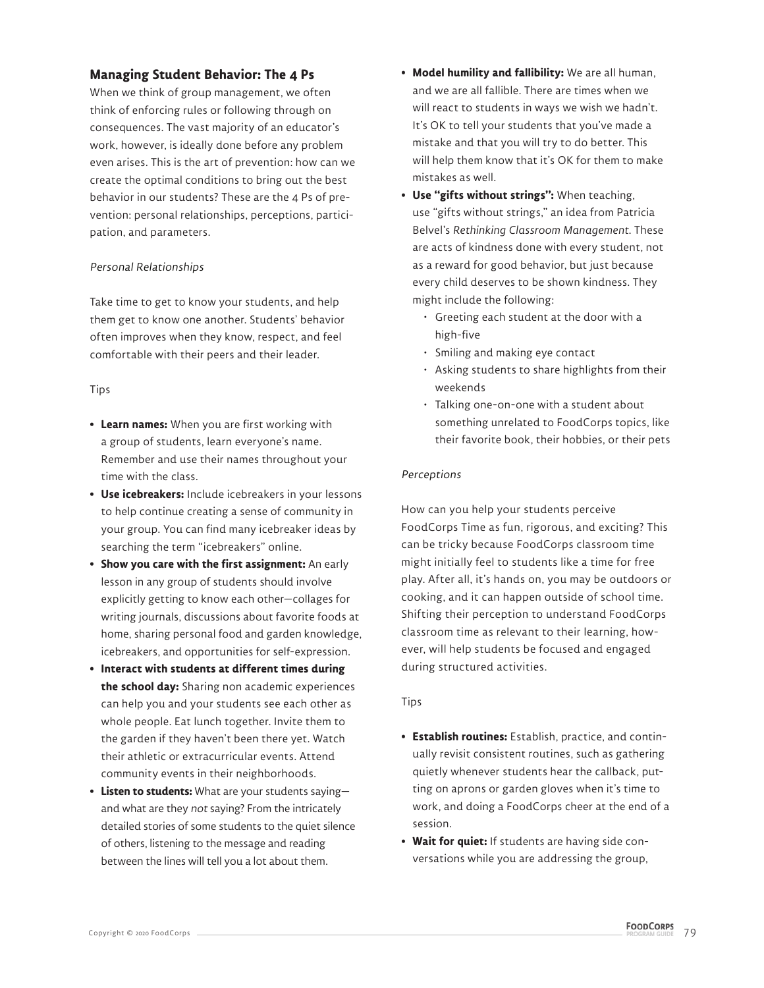# **Managing Student Behavior: The 4 Ps**

When we think of group management, we often think of enforcing rules or following through on consequences. The vast majority of an educator's work, however, is ideally done before any problem even arises. This is the art of prevention: how can we create the optimal conditions to bring out the best behavior in our students? These are the 4 Ps of prevention: personal relationships, perceptions, participation, and parameters.

### Personal Relationships

Take time to get to know your students, and help them get to know one another. Students' behavior often improves when they know, respect, and feel comfortable with their peers and their leader.

### Tips

- **Learn names:** When you are first working with a group of students, learn everyone's name. Remember and use their names throughout your time with the class.
- **Use icebreakers:** Include icebreakers in your lessons to help continue creating a sense of community in your group. You can find many icebreaker ideas by searching the term "icebreakers" online.
- **Show you care with the first assignment:** An early lesson in any group of students should involve explicitly getting to know each other—collages for writing journals, discussions about favorite foods at home, sharing personal food and garden knowledge, icebreakers, and opportunities for self-expression.
- **Interact with students at different times during the school day:** Sharing non academic experiences can help you and your students see each other as whole people. Eat lunch together. Invite them to the garden if they haven't been there yet. Watch their athletic or extracurricular events. Attend community events in their neighborhoods.
- **Listen to students:** What are your students saying and what are they not saying? From the intricately detailed stories of some students to the quiet silence of others, listening to the message and reading between the lines will tell you a lot about them.
- **Model humility and fallibility:** We are all human, and we are all fallible. There are times when we will react to students in ways we wish we hadn't. It's OK to tell your students that you've made a mistake and that you will try to do better. This will help them know that it's OK for them to make mistakes as well.
- **Use "gifts without strings":** When teaching, use "gifts without strings," an idea from Patricia Belvel's *Rethinking Classroom Management*. These are acts of kindness done with every student, not as a reward for good behavior, but just because every child deserves to be shown kindness. They might include the following:
	- Greeting each student at the door with a high-five
	- Smiling and making eye contact
	- Asking students to share highlights from their weekends
	- Talking one-on-one with a student about something unrelated to FoodCorps topics, like their favorite book, their hobbies, or their pets

## Perceptions

How can you help your students perceive FoodCorps Time as fun, rigorous, and exciting? This can be tricky because FoodCorps classroom time might initially feel to students like a time for free play. After all, it's hands on, you may be outdoors or cooking, and it can happen outside of school time. Shifting their perception to understand FoodCorps classroom time as relevant to their learning, however, will help students be focused and engaged during structured activities.

### Tips

- **Establish routines:** Establish, practice, and continually revisit consistent routines, such as gathering quietly whenever students hear the callback, putting on aprons or garden gloves when it's time to work, and doing a FoodCorps cheer at the end of a session.
- **Wait for quiet:** If students are having side conversations while you are addressing the group,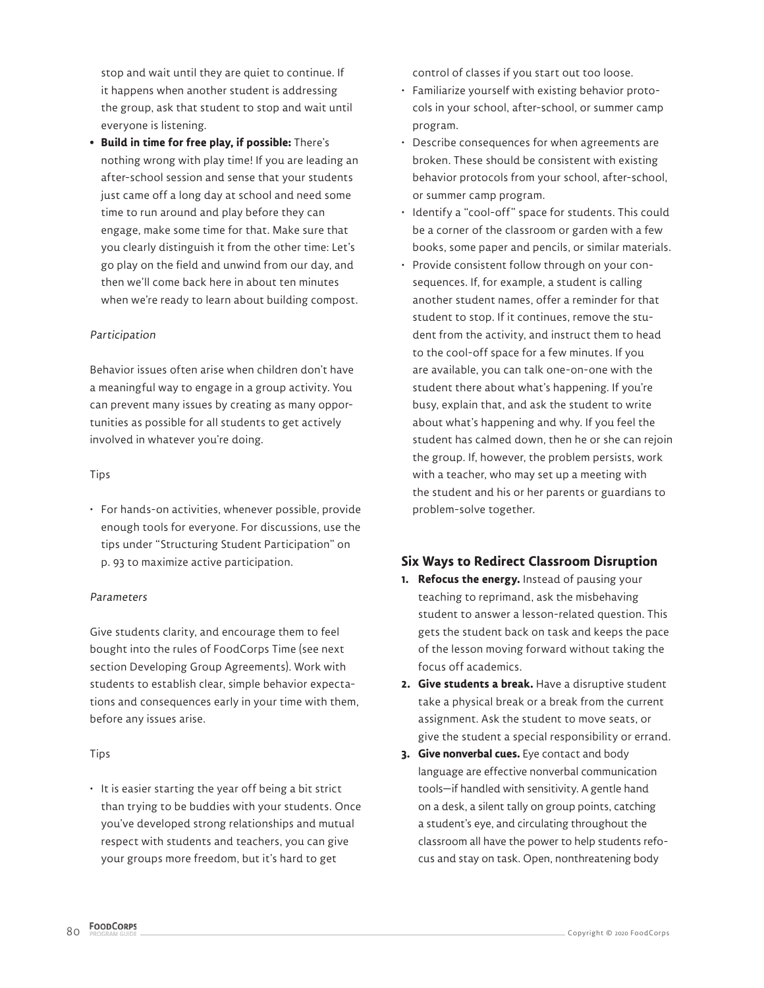stop and wait until they are quiet to continue. If it happens when another student is addressing the group, ask that student to stop and wait until everyone is listening.

**• Build in time for free play, if possible:** There's nothing wrong with play time! If you are leading an after-school session and sense that your students just came off a long day at school and need some time to run around and play before they can engage, make some time for that. Make sure that you clearly distinguish it from the other time: Let's go play on the field and unwind from our day, and then we'll come back here in about ten minutes when we're ready to learn about building compost.

#### Participation

Behavior issues often arise when children don't have a meaningful way to engage in a group activity. You can prevent many issues by creating as many opportunities as possible for all students to get actively involved in whatever you're doing.

#### Tips

• For hands-on activities, whenever possible, provide enough tools for everyone. For discussions, use the tips under "Structuring Student Participation" on p. 93 to maximize active participation.

### Parameters

Give students clarity, and encourage them to feel bought into the rules of FoodCorps Time (see next section Developing Group Agreements). Work with students to establish clear, simple behavior expectations and consequences early in your time with them, before any issues arise.

### Tips

• It is easier starting the year off being a bit strict than trying to be buddies with your students. Once you've developed strong relationships and mutual respect with students and teachers, you can give your groups more freedom, but it's hard to get

control of classes if you start out too loose.

- Familiarize yourself with existing behavior protocols in your school, after-school, or summer camp program.
- Describe consequences for when agreements are broken. These should be consistent with existing behavior protocols from your school, after-school, or summer camp program.
- Identify a "cool-off" space for students. This could be a corner of the classroom or garden with a few books, some paper and pencils, or similar materials.
- Provide consistent follow through on your consequences. If, for example, a student is calling another student names, offer a reminder for that student to stop. If it continues, remove the student from the activity, and instruct them to head to the cool-off space for a few minutes. If you are available, you can talk one-on-one with the student there about what's happening. If you're busy, explain that, and ask the student to write about what's happening and why. If you feel the student has calmed down, then he or she can rejoin the group. If, however, the problem persists, work with a teacher, who may set up a meeting with the student and his or her parents or guardians to problem-solve together.

# **Six Ways to Redirect Classroom Disruption**

- **1. Refocus the energy.** Instead of pausing your teaching to reprimand, ask the misbehaving student to answer a lesson-related question. This gets the student back on task and keeps the pace of the lesson moving forward without taking the focus off academics.
- **2. Give students a break.** Have a disruptive student take a physical break or a break from the current assignment. Ask the student to move seats, or give the student a special responsibility or errand.
- **3. Give nonverbal cues.** Eye contact and body language are effective nonverbal communication tools—if handled with sensitivity. A gentle hand on a desk, a silent tally on group points, catching a student's eye, and circulating throughout the classroom all have the power to help students refocus and stay on task. Open, nonthreatening body